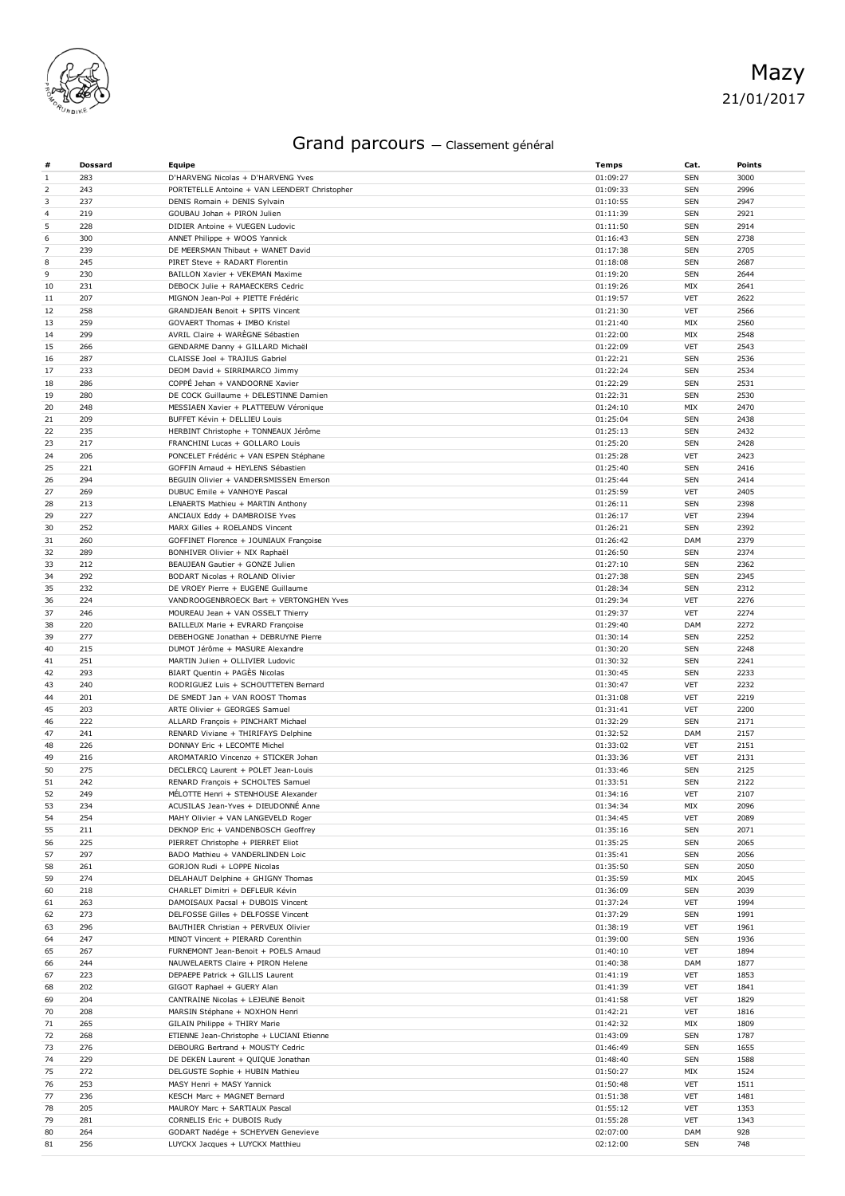

## Grand parcours — Classement général

| #              | <b>Dossard</b> | <b>Equipe</b>                                                         | Temps                | Cat.              | <b>Points</b> |
|----------------|----------------|-----------------------------------------------------------------------|----------------------|-------------------|---------------|
| $\mathbf{1}$   | 283            | D'HARVENG Nicolas + D'HARVENG Yves                                    | 01:09:27             | <b>SEN</b>        | 3000          |
| 2              | 243            | PORTETELLE Antoine + VAN LEENDERT Christopher                         | 01:09:33             | <b>SEN</b>        | 2996          |
| 3              | 237            | DENIS Romain + DENIS Sylvain                                          | 01:10:55             | <b>SEN</b>        | 2947          |
| $\overline{4}$ | 219            | GOUBAU Johan + PIRON Julien                                           | 01:11:39             | <b>SEN</b>        | 2921          |
| 5              | 228            | DIDIER Antoine + VUEGEN Ludovic                                       | 01:11:50             | <b>SEN</b>        | 2914          |
| 6              | 300            | ANNET Philippe + WOOS Yannick                                         | 01:16:43             | <b>SEN</b>        | 2738          |
| $\overline{7}$ | 239            | DE MEERSMAN Thibaut + WANET David                                     | 01:17:38             | <b>SEN</b>        | 2705          |
| 8              | 245            | PIRET Steve + RADART Florentin                                        | 01:18:08             | <b>SEN</b>        | 2687          |
| 9              | 230            | BAILLON Xavier + VEKEMAN Maxime                                       | 01:19:20             | <b>SEN</b>        | 2644          |
| 10             | 231            | DEBOCK Julie + RAMAECKERS Cedric                                      | 01:19:26             | MIX               | 2641          |
| 11             | 207            | MIGNON Jean-Pol + PIETTE Frédéric                                     | 01:19:57             | <b>VET</b>        | 2622          |
| 12             | 258            | GRANDJEAN Benoit + SPITS Vincent                                      | 01:21:30             | VET               | 2566          |
| 13             | 259            | GOVAERT Thomas + IMBO Kristel                                         | 01:21:40             | MIX               | 2560          |
| 14             | 299            | AVRIL Claire + WARÈGNE Sébastien                                      | 01:22:00             | MIX               | 2548          |
| 15             | 266            | GENDARME Danny + GILLARD Michaël                                      | 01:22:09             | <b>VET</b>        | 2543          |
| 16             | 287            | CLAISSE Joel + TRAJIUS Gabriel                                        | 01:22:21             | <b>SEN</b>        | 2536          |
| 17             | 233            | DEOM David + SIRRIMARCO Jimmy                                         | 01:22:24             | <b>SEN</b>        | 2534          |
| 18             | 286            | COPPE Jehan + VANDOORNE Xavier                                        | 01:22:29             | <b>SEN</b>        | 2531          |
| 19             | 280            | DE COCK Guillaume + DELESTINNE Damien                                 | 01:22:31             | <b>SEN</b>        | 2530          |
| 20             | 248            | MESSIAEN Xavier + PLATTEEUW Véronique                                 | 01:24:10             | MIX               | 2470          |
| 21             | 209            | BUFFET Kévin + DELLIEU Louis                                          | 01:25:04             | <b>SEN</b>        | 2438          |
| 22             | 235            | HERBINT Christophe + TONNEAUX Jérôme                                  | 01:25:13             | <b>SEN</b>        | 2432          |
| 23             | 217            | FRANCHINI Lucas + GOLLARO Louis                                       | 01:25:20             | <b>SEN</b>        | 2428          |
| 24             | 206            | PONCELET Frédéric + VAN ESPEN Stéphane                                | 01:25:28             | VET               | 2423          |
| 25             | 221            | GOFFIN Arnaud + HEYLENS Sébastien                                     | 01:25:40             | <b>SEN</b>        | 2416          |
| 26             | 294            | BEGUIN Olivier + VANDERSMISSEN Emerson                                | 01:25:44             | <b>SEN</b>        | 2414          |
| 27             | 269            | DUBUC Emile + VANHOYE Pascal                                          | 01:25:59             | <b>VET</b>        | 2405          |
| 28             | 213            | LENAERTS Mathieu + MARTIN Anthony                                     | 01:26:11             | <b>SEN</b>        | 2398          |
| 29             | 227            | ANCIAUX Eddy + DAMBROISE Yves                                         | 01:26:17             | <b>VET</b>        | 2394          |
| 30             | 252            | MARX Gilles + ROELANDS Vincent                                        | 01:26:21             | <b>SEN</b>        | 2392          |
| 31             | 260<br>289     | GOFFINET Florence + JOUNIAUX Françoise                                | 01:26:42             | DAM<br><b>SEN</b> | 2379<br>2374  |
| 32             | 212            | BONHIVER Olivier + NIX Raphaël<br>BEAUJEAN Gautier + GONZE Julien     | 01:26:50             | <b>SEN</b>        | 2362          |
| 33             | 292            |                                                                       | 01:27:10             | <b>SEN</b>        |               |
| 34<br>35       | 232            | BODART Nicolas + ROLAND Olivier<br>DE VROEY Pierre + EUGENE Guillaume | 01:27:38<br>01:28:34 | <b>SEN</b>        | 2345<br>2312  |
| 36             | 224            | VANDROOGENBROECK Bart + VERTONGHEN Yves                               | 01:29:34             | <b>VET</b>        | 2276          |
| 37             | 246            | MOUREAU Jean + VAN OSSELT Thierry                                     | 01:29:37             | <b>VET</b>        | 2274          |
| 38             | 220            | BAILLEUX Marie + EVRARD Françoise                                     | 01:29:40             | DAM               | 2272          |
| 39             | 277            | DEBEHOGNE Jonathan + DEBRUYNE Pierre                                  | 01:30:14             | <b>SEN</b>        | 2252          |
| 40             | 215            | DUMOT Jérôme + MASURE Alexandre                                       | 01:30:20             | <b>SEN</b>        | 2248          |
| 41             | 251            | MARTIN Julien + OLLIVIER Ludovic                                      | 01:30:32             | <b>SEN</b>        | 2241          |
| 42             | 293            | BIART Quentin + PAGÈS Nicolas                                         | 01:30:45             | <b>SEN</b>        | 2233          |
| 43             | 240            | RODRIGUEZ Luis + SCHOUTTETEN Bernard                                  | 01:30:47             | VET               | 2232          |
| 44             | 201            | DE SMEDT Jan + VAN ROOST Thomas                                       | 01:31:08             | <b>VET</b>        | 2219          |
| 45             | 203            | ARTE Olivier + GEORGES Samuel                                         | 01:31:41             | <b>VET</b>        | 2200          |
| 46             | 222            | ALLARD François + PINCHART Michael                                    | 01:32:29             | <b>SEN</b>        | 2171          |
| 47             | 241            | RENARD Viviane + THIRIFAYS Delphine                                   | 01:32:52             | DAM               | 2157          |
| 48             | 226            | DONNAY Eric + LECOMTE Michel                                          | 01:33:02             | <b>VET</b>        | 2151          |
| 49             | 216            | AROMATARIO Vincenzo + STICKER Johan                                   | 01:33:36             | <b>VET</b>        | 2131          |
| 50             | 275            | DECLERCQ Laurent + POLET Jean-Louis                                   | 01:33:46             | <b>SEN</b>        | 2125          |
| 51             | 242            | RENARD François + SCHOLTES Samuel                                     | 01:33:51             | <b>SEN</b>        | 2122          |
| 52             | 249            | MELOTTE Henri + STENHOUSE Alexander                                   | 01:34:16             | VET               | 2107          |
| 53             | 234            | ACUSILAS Jean-Yves + DIEUDONNÉ Anne                                   | 01:34:34             | MIX               | 2096          |
| 54             | 254            | MAHY Olivier + VAN LANGEVELD Roger                                    | 01:34:45             | <b>VET</b>        | 2089          |
| 55             | 211            | DEKNOP Eric + VANDENBOSCH Geoffrey                                    | 01:35:16             | <b>SEN</b>        | 2071          |
| 56             | 225            | PIERRET Christophe + PIERRET Eliot                                    | 01:35:25             | <b>SEN</b>        | 2065          |
| 57             | 297            | BADO Mathieu + VANDERLINDEN Loic                                      | 01:35:41             | <b>SEN</b>        | 2056          |
| 58             | 261            | GORJON Rudi + LOPPE Nicolas                                           | 01:35:50             | <b>SEN</b>        | 2050          |
| 59             | 274            | DELAHAUT Delphine + GHIGNY Thomas                                     | 01:35:59             | MIX               | 2045          |
| 60             | 218            | CHARLET Dimitri + DEFLEUR Kévin                                       | 01:36:09             | <b>SEN</b>        | 2039          |
| 61             | 263            | DAMOISAUX Pacsal + DUBOIS Vincent                                     | 01:37:24             | <b>VET</b>        | 1994          |
| 62             | 273            | DELFOSSE Gilles + DELFOSSE Vincent                                    | 01:37:29             | <b>SEN</b>        | 1991          |
| 63             | 296            | BAUTHIER Christian + PERVEUX Olivier                                  | 01:38:19             | <b>VET</b>        | 1961          |
| 64             | 247            | MINOT Vincent + PIERARD Corenthin                                     | 01:39:00             | <b>SEN</b>        | 1936          |
| 65             | 267            | FURNEMONT Jean-Benoit + POELS Arnaud                                  | 01:40:10             | <b>VET</b>        | 1894          |
| 66             | 244            | NAUWELAERTS Claire + PIRON Helene                                     | 01:40:38             | DAM               | 1877          |
| 67             | 223            | DEPAEPE Patrick + GILLIS Laurent                                      | 01:41:19             | VET               | 1853          |
| 68             | 202            | GIGOT Raphael + GUERY Alan                                            | 01:41:39             | <b>VET</b>        | 1841          |
| 69             | 204            | CANTRAINE Nicolas + LEJEUNE Benoit                                    | 01:41:58             | <b>VET</b>        | 1829          |
| 70             | 208            | MARSIN Stéphane + NOXHON Henri                                        | 01:42:21             | <b>VET</b>        | 1816          |
| 71             | 265            | GILAIN Philippe + THIRY Marie                                         | 01:42:32             | MIX               | 1809          |
| 72             | 268            | ETIENNE Jean-Christophe + LUCIANI Etienne                             | 01:43:09             | <b>SEN</b>        | 1787          |
| 73             | 276            | DEBOURG Bertrand + MOUSTY Cedric                                      | 01:46:49             | <b>SEN</b>        | 1655          |
| 74             | 229            | DE DEKEN Laurent + QUIQUE Jonathan                                    | 01:48:40             | <b>SEN</b>        | 1588          |
| 75             | 272            | DELGUSTE Sophie + HUBIN Mathieu                                       | 01:50:27             | MIX               | 1524          |
| 76             | 253            | MASY Henri + MASY Yannick                                             | 01:50:48             | <b>VET</b>        | 1511          |
| 77             | 236            | KESCH Marc + MAGNET Bernard                                           | 01:51:38             | <b>VET</b>        | 1481          |
| 78<br>79       | 205<br>281     | MAUROY Marc + SARTIAUX Pascal<br>CORNELIS Eric + DUBOIS Rudy          | 01:55:12<br>01:55:28 | <b>VET</b><br>VET | 1353<br>1343  |
| 80             | 264            | GODART Nadége + SCHEYVEN Genevieve                                    | 02:07:00             | DAM               | 928           |
| 81             | 256            | LUYCKX Jacques + LUYCKX Matthieu                                      | 02:12:00             | <b>SEN</b>        | 748           |
|                |                |                                                                       |                      |                   |               |